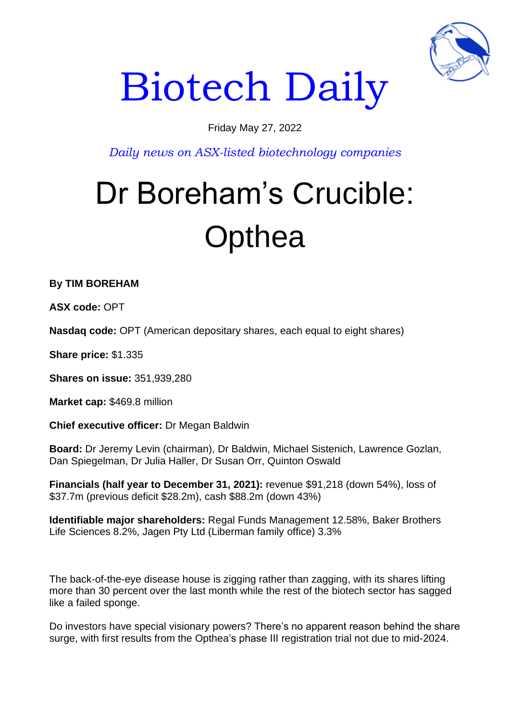

# Biotech Daily

### Friday May 27, 2022

*Daily news on ASX-listed biotechnology companies*

## Dr Boreham's Crucible: **Opthea**

**By TIM BOREHAM** 

**ASX code:** OPT

**Nasdaq code:** OPT (American depositary shares, each equal to eight shares)

**Share price:** \$1.335

**Shares on issue:** 351,939,280

**Market cap:** \$469.8 million

**Chief executive officer:** Dr Megan Baldwin

**Board:** Dr Jeremy Levin (chairman), Dr Baldwin, Michael Sistenich, Lawrence Gozlan, Dan Spiegelman, Dr Julia Haller, Dr Susan Orr, Quinton Oswald

**Financials (half year to December 31, 2021):** revenue \$91,218 (down 54%), loss of \$37.7m (previous deficit \$28.2m), cash \$88.2m (down 43%)

**Identifiable major shareholders:** Regal Funds Management 12.58%, Baker Brothers Life Sciences 8.2%, Jagen Pty Ltd (Liberman family office) 3.3%

The back-of-the-eye disease house is zigging rather than zagging, with its shares lifting more than 30 percent over the last month while the rest of the biotech sector has sagged like a failed sponge.

Do investors have special visionary powers? There's no apparent reason behind the share surge, with first results from the Opthea's phase III registration trial not due to mid-2024.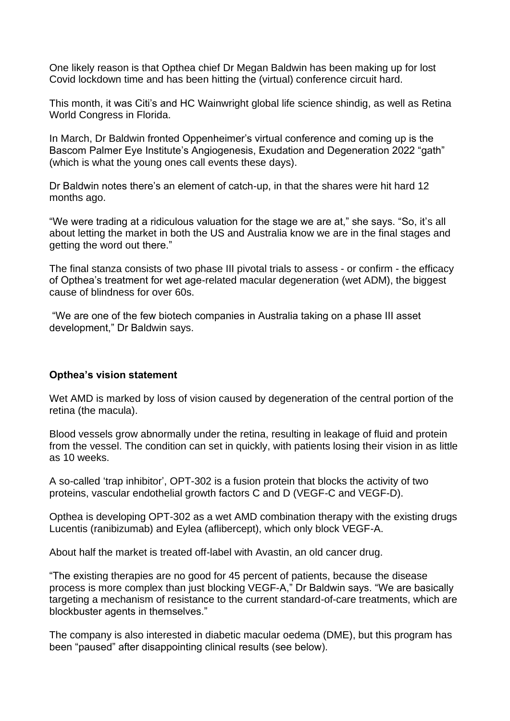One likely reason is that Opthea chief Dr Megan Baldwin has been making up for lost Covid lockdown time and has been hitting the (virtual) conference circuit hard.

This month, it was Citi's and HC Wainwright global life science shindig, as well as Retina World Congress in Florida.

In March, Dr Baldwin fronted Oppenheimer's virtual conference and coming up is the Bascom Palmer Eye Institute's Angiogenesis, Exudation and Degeneration 2022 "gath" (which is what the young ones call events these days).

Dr Baldwin notes there's an element of catch-up, in that the shares were hit hard 12 months ago.

"We were trading at a ridiculous valuation for the stage we are at," she says. "So, it's all about letting the market in both the US and Australia know we are in the final stages and getting the word out there."

The final stanza consists of two phase III pivotal trials to assess - or confirm - the efficacy of Opthea's treatment for wet age-related macular degeneration (wet ADM), the biggest cause of blindness for over 60s.

"We are one of the few biotech companies in Australia taking on a phase III asset development," Dr Baldwin says.

#### **Opthea's vision statement**

Wet AMD is marked by loss of vision caused by degeneration of the central portion of the retina (the macula).

Blood vessels grow abnormally under the retina, resulting in leakage of fluid and protein from the vessel. The condition can set in quickly, with patients losing their vision in as little as 10 weeks.

A so-called 'trap inhibitor', OPT-302 is a fusion protein that blocks the activity of two proteins, vascular endothelial growth factors C and D (VEGF-C and VEGF-D).

Opthea is developing OPT-302 as a wet AMD combination therapy with the existing drugs Lucentis (ranibizumab) and Eylea (aflibercept), which only block VEGF-A.

About half the market is treated off-label with Avastin, an old cancer drug.

"The existing therapies are no good for 45 percent of patients, because the disease process is more complex than just blocking VEGF-A," Dr Baldwin says. "We are basically targeting a mechanism of resistance to the current standard-of-care treatments, which are blockbuster agents in themselves."

The company is also interested in diabetic macular oedema (DME), but this program has been "paused" after disappointing clinical results (see below).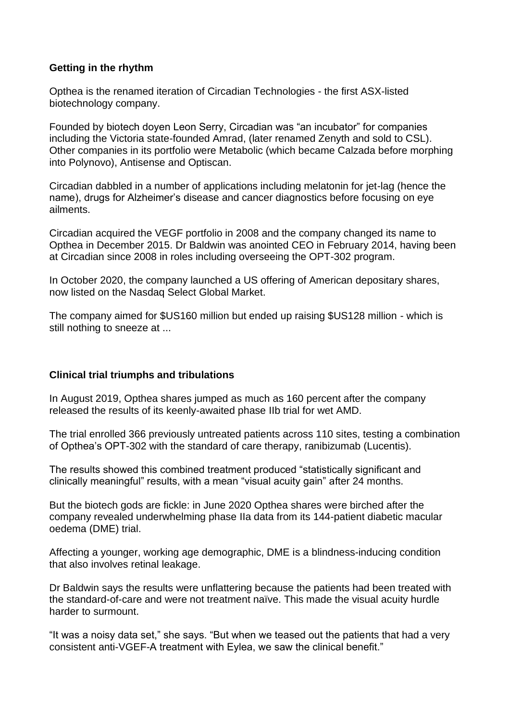#### **Getting in the rhythm**

Opthea is the renamed iteration of Circadian Technologies - the first ASX-listed biotechnology company.

Founded by biotech doyen Leon Serry, Circadian was "an incubator" for companies including the Victoria state-founded Amrad, (later renamed Zenyth and sold to CSL). Other companies in its portfolio were Metabolic (which became Calzada before morphing into Polynovo), Antisense and Optiscan.

Circadian dabbled in a number of applications including melatonin for jet-lag (hence the name), drugs for Alzheimer's disease and cancer diagnostics before focusing on eye ailments.

Circadian acquired the VEGF portfolio in 2008 and the company changed its name to Opthea in December 2015. Dr Baldwin was anointed CEO in February 2014, having been at Circadian since 2008 in roles including overseeing the OPT-302 program.

In October 2020, the company launched a US offering of American depositary shares, now listed on the Nasdaq Select Global Market.

The company aimed for \$US160 million but ended up raising \$US128 million - which is still nothing to sneeze at ...

#### **Clinical trial triumphs and tribulations**

In August 2019, Opthea shares jumped as much as 160 percent after the company released the results of its keenly-awaited phase IIb trial for wet AMD.

The trial enrolled 366 previously untreated patients across 110 sites, testing a combination of Opthea's OPT-302 with the standard of care therapy, ranibizumab (Lucentis).

The results showed this combined treatment produced "statistically significant and clinically meaningful" results, with a mean "visual acuity gain" after 24 months.

But the biotech gods are fickle: in June 2020 Opthea shares were birched after the company revealed underwhelming phase IIa data from its 144-patient diabetic macular oedema (DME) trial.

Affecting a younger, working age demographic, DME is a blindness-inducing condition that also involves retinal leakage.

Dr Baldwin says the results were unflattering because the patients had been treated with the standard-of-care and were not treatment naïve. This made the visual acuity hurdle harder to surmount.

"It was a noisy data set," she says. "But when we teased out the patients that had a very consistent anti-VGEF-A treatment with Eylea, we saw the clinical benefit."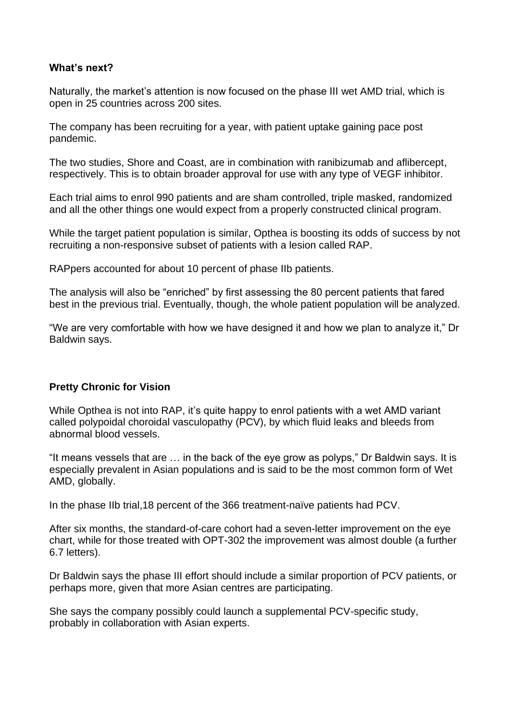#### **What's next?**

Naturally, the market's attention is now focused on the phase III wet AMD trial, which is open in 25 countries across 200 sites.

The company has been recruiting for a year, with patient uptake gaining pace post pandemic.

The two studies, Shore and Coast, are in combination with ranibizumab and aflibercept, respectively. This is to obtain broader approval for use with any type of VEGF inhibitor.

Each trial aims to enrol 990 patients and are sham controlled, triple masked, randomized and all the other things one would expect from a properly constructed clinical program.

While the target patient population is similar, Opthea is boosting its odds of success by not recruiting a non-responsive subset of patients with a lesion called RAP.

RAPpers accounted for about 10 percent of phase IIb patients.

The analysis will also be "enriched" by first assessing the 80 percent patients that fared best in the previous trial. Eventually, though, the whole patient population will be analyzed.

"We are very comfortable with how we have designed it and how we plan to analyze it," Dr Baldwin says.

#### **Pretty Chronic for Vision**

While Opthea is not into RAP, it's quite happy to enrol patients with a wet AMD variant called polypoidal choroidal vasculopathy (PCV), by which fluid leaks and bleeds from abnormal blood vessels.

"It means vessels that are … in the back of the eye grow as polyps," Dr Baldwin says. It is especially prevalent in Asian populations and is said to be the most common form of Wet AMD, globally.

In the phase IIb trial,18 percent of the 366 treatment-naïve patients had PCV.

After six months, the standard-of-care cohort had a seven-letter improvement on the eye chart, while for those treated with OPT-302 the improvement was almost double (a further 6.7 letters).

Dr Baldwin says the phase III effort should include a similar proportion of PCV patients, or perhaps more, given that more Asian centres are participating.

She says the company possibly could launch a supplemental PCV-specific study, probably in collaboration with Asian experts.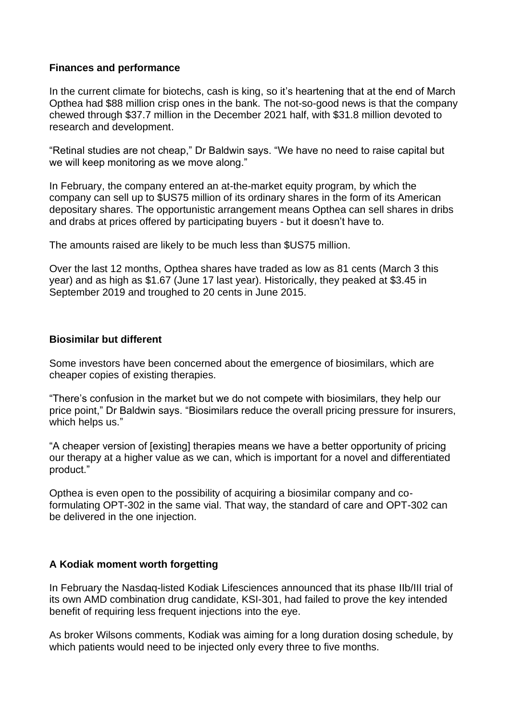#### **Finances and performance**

In the current climate for biotechs, cash is king, so it's heartening that at the end of March Opthea had \$88 million crisp ones in the bank. The not-so-good news is that the company chewed through \$37.7 million in the December 2021 half, with \$31.8 million devoted to research and development.

"Retinal studies are not cheap," Dr Baldwin says. "We have no need to raise capital but we will keep monitoring as we move along."

In February, the company entered an at-the-market equity program, by which the company can sell up to \$US75 million of its ordinary shares in the form of its American depositary shares. The opportunistic arrangement means Opthea can sell shares in dribs and drabs at prices offered by participating buyers - but it doesn't have to.

The amounts raised are likely to be much less than \$US75 million.

Over the last 12 months, Opthea shares have traded as low as 81 cents (March 3 this year) and as high as \$1.67 (June 17 last year). Historically, they peaked at \$3.45 in September 2019 and troughed to 20 cents in June 2015.

#### **Biosimilar but different**

Some investors have been concerned about the emergence of biosimilars, which are cheaper copies of existing therapies.

"There's confusion in the market but we do not compete with biosimilars, they help our price point," Dr Baldwin says. "Biosimilars reduce the overall pricing pressure for insurers, which helps us."

"A cheaper version of [existing] therapies means we have a better opportunity of pricing our therapy at a higher value as we can, which is important for a novel and differentiated product."

Opthea is even open to the possibility of acquiring a biosimilar company and coformulating OPT-302 in the same vial. That way, the standard of care and OPT-302 can be delivered in the one injection.

#### **A Kodiak moment worth forgetting**

In February the Nasdaq-listed Kodiak Lifesciences announced that its phase IIb/III trial of its own AMD combination drug candidate, KSI-301, had failed to prove the key intended benefit of requiring less frequent injections into the eye.

As broker Wilsons comments, Kodiak was aiming for a long duration dosing schedule, by which patients would need to be injected only every three to five months.